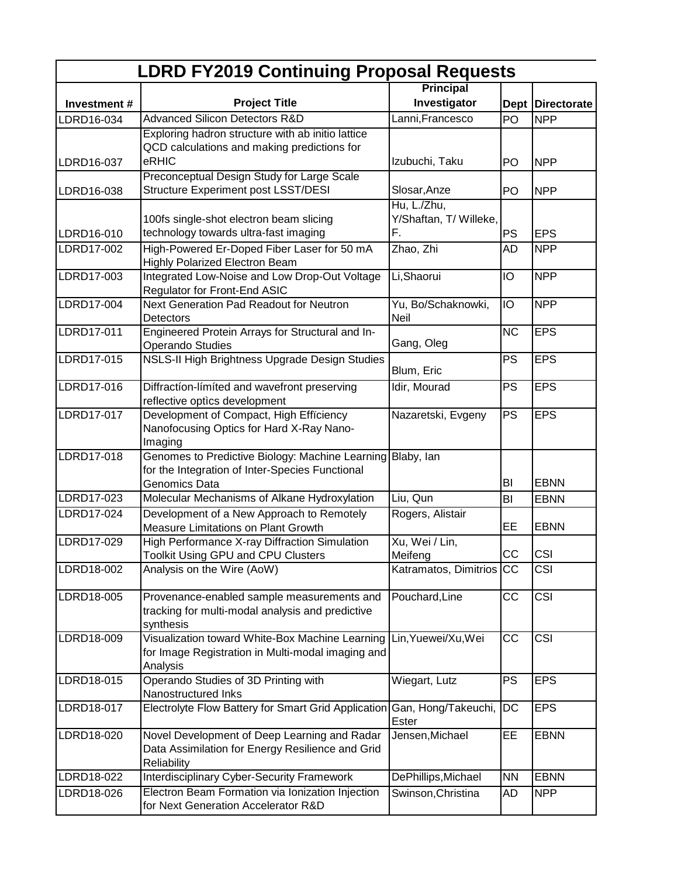| <b>LDRD FY2019 Continuing Proposal Requests</b> |                                                                    |                          |           |                         |  |  |
|-------------------------------------------------|--------------------------------------------------------------------|--------------------------|-----------|-------------------------|--|--|
|                                                 |                                                                    | <b>Principal</b>         |           |                         |  |  |
| Investment#                                     | <b>Project Title</b>                                               | Investigator             |           | Dept Directorate        |  |  |
| LDRD16-034                                      | <b>Advanced Silicon Detectors R&amp;D</b>                          | Lanni, Francesco         | PO        | <b>NPP</b>              |  |  |
|                                                 | Exploring hadron structure with ab initio lattice                  |                          |           |                         |  |  |
|                                                 | QCD calculations and making predictions for<br>eRHIC               | Izubuchi, Taku           |           |                         |  |  |
| LDRD16-037                                      | Preconceptual Design Study for Large Scale                         |                          | PO        | <b>NPP</b>              |  |  |
| LDRD16-038                                      | Structure Experiment post LSST/DESI                                | Slosar, Anze             | PO        | <b>NPP</b>              |  |  |
|                                                 |                                                                    | Hu, L./Zhu,              |           |                         |  |  |
|                                                 | 100fs single-shot electron beam slicing                            | Y/Shaftan, T/ Willeke,   |           |                         |  |  |
| LDRD16-010                                      | technology towards ultra-fast imaging                              | F.                       | PS        | <b>EPS</b>              |  |  |
| LDRD17-002                                      | High-Powered Er-Doped Fiber Laser for 50 mA                        | Zhao, Zhi                | AD        | <b>NPP</b>              |  |  |
|                                                 | <b>Highly Polarized Electron Beam</b>                              |                          |           |                         |  |  |
| LDRD17-003                                      | Integrated Low-Noise and Low Drop-Out Voltage                      | Li, Shaorui              | IO        | <b>NPP</b>              |  |  |
|                                                 | <b>Regulator for Front-End ASIC</b>                                |                          |           |                         |  |  |
| LDRD17-004                                      | Next Generation Pad Readout for Neutron                            | Yu, Bo/Schaknowki,       | IO        | <b>NPP</b>              |  |  |
|                                                 | <b>Detectors</b>                                                   | <b>Neil</b>              |           |                         |  |  |
| LDRD17-011                                      | Engineered Protein Arrays for Structural and In-                   | Gang, Oleg               | <b>NC</b> | <b>EPS</b>              |  |  |
| LDRD17-015                                      | Operando Studies<br>NSLS-II High Brightness Upgrade Design Studies |                          | <b>PS</b> | <b>EPS</b>              |  |  |
|                                                 |                                                                    | Blum, Eric               |           |                         |  |  |
| LDRD17-016                                      | Diffraction-limited and wavefront preserving                       | Idir, Mourad             | <b>PS</b> | <b>EPS</b>              |  |  |
|                                                 | reflective optics development                                      |                          |           |                         |  |  |
| LDRD17-017                                      | Development of Compact, High Efficiency                            | Nazaretski, Evgeny       | <b>PS</b> | <b>EPS</b>              |  |  |
|                                                 | Nanofocusing Optics for Hard X-Ray Nano-                           |                          |           |                         |  |  |
|                                                 | Imaging                                                            |                          |           |                         |  |  |
| LDRD17-018                                      | Genomes to Predictive Biology: Machine Learning Blaby, Ian         |                          |           |                         |  |  |
|                                                 | for the Integration of Inter-Species Functional<br>Genomics Data   |                          | BI        | <b>EBNN</b>             |  |  |
| LDRD17-023                                      | Molecular Mechanisms of Alkane Hydroxylation                       | Liu, Qun                 | BI        | <b>EBNN</b>             |  |  |
| LDRD17-024                                      | Development of a New Approach to Remotely                          | Rogers, Alistair         |           |                         |  |  |
|                                                 | Measure Limitations on Plant Growth                                |                          | EE        | <b>EBNN</b>             |  |  |
| LDRD17-029                                      | High Performance X-ray Diffraction Simulation                      | Xu, Wei / Lin,           |           |                         |  |  |
|                                                 | Toolkit Using GPU and CPU Clusters                                 | Meifeng                  | CC        | CSI                     |  |  |
| LDRD18-002                                      | Analysis on the Wire (AoW)                                         | Katramatos, Dimitrios CC |           | CSI                     |  |  |
|                                                 |                                                                    |                          |           |                         |  |  |
| LDRD18-005                                      | Provenance-enabled sample measurements and                         | Pouchard, Line           | <b>CC</b> | $\overline{\text{CSI}}$ |  |  |
|                                                 | tracking for multi-modal analysis and predictive                   |                          |           |                         |  |  |
| LDRD18-009                                      | synthesis<br>Visualization toward White-Box Machine Learning       | Lin, Yuewei/Xu, Wei      | <b>CC</b> | CSI                     |  |  |
|                                                 | for Image Registration in Multi-modal imaging and                  |                          |           |                         |  |  |
|                                                 | Analysis                                                           |                          |           |                         |  |  |
| LDRD18-015                                      | Operando Studies of 3D Printing with                               | Wiegart, Lutz            | <b>PS</b> | <b>EPS</b>              |  |  |
|                                                 | Nanostructured Inks                                                |                          |           |                         |  |  |
| LDRD18-017                                      | Electrolyte Flow Battery for Smart Grid Application                | Gan, Hong/Takeuchi,      | DC        | <b>EPS</b>              |  |  |
|                                                 |                                                                    | Ester                    |           |                         |  |  |
| LDRD18-020                                      | Novel Development of Deep Learning and Radar                       | Jensen, Michael          | EЕ        | <b>EBNN</b>             |  |  |
|                                                 | Data Assimilation for Energy Resilience and Grid<br>Reliability    |                          |           |                         |  |  |
| LDRD18-022                                      | <b>Interdisciplinary Cyber-Security Framework</b>                  | DePhillips, Michael      | <b>NN</b> | <b>EBNN</b>             |  |  |
| LDRD18-026                                      | Electron Beam Formation via Ionization Injection                   | Swinson, Christina       | AD        | <b>NPP</b>              |  |  |
|                                                 | for Next Generation Accelerator R&D                                |                          |           |                         |  |  |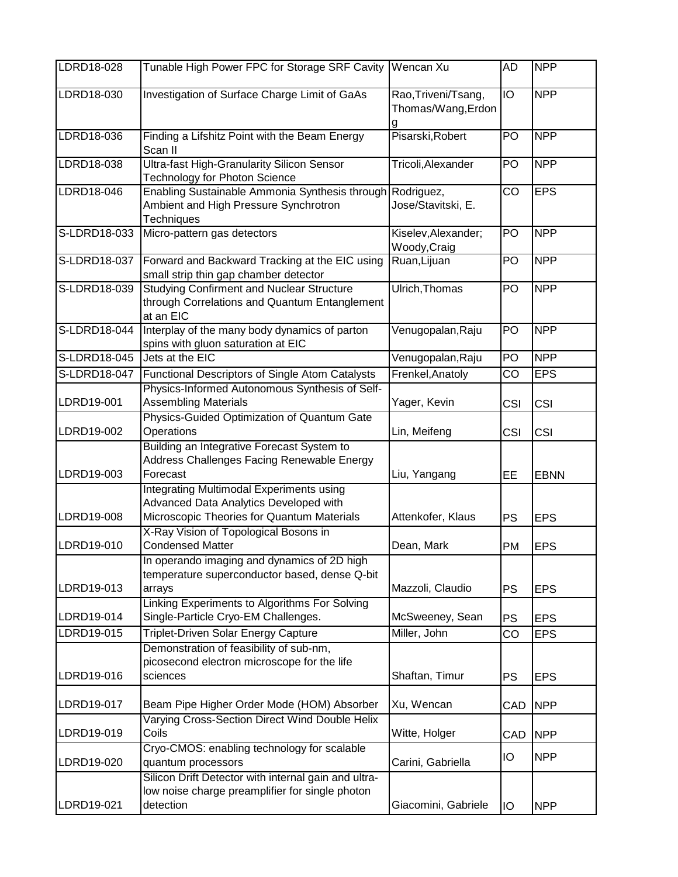| LDRD18-028   | Tunable High Power FPC for Storage SRF Cavity Wencan Xu                                                                          |                                           | AD        | <b>NPP</b>  |
|--------------|----------------------------------------------------------------------------------------------------------------------------------|-------------------------------------------|-----------|-------------|
| LDRD18-030   | Investigation of Surface Charge Limit of GaAs                                                                                    | Rao, Triveni/Tsang,<br>Thomas/Wang, Erdon | IO        | <b>NPP</b>  |
| LDRD18-036   | Finding a Lifshitz Point with the Beam Energy<br>Scan II                                                                         | Pisarski, Robert                          | PO        | <b>NPP</b>  |
| LDRD18-038   | <b>Ultra-fast High-Granularity Silicon Sensor</b><br><b>Technology for Photon Science</b>                                        | Tricoli, Alexander                        | PO        | <b>NPP</b>  |
| LDRD18-046   | Enabling Sustainable Ammonia Synthesis through<br>Ambient and High Pressure Synchrotron<br>Techniques                            | Rodriguez,<br>Jose/Stavitski, E.          | CO        | <b>EPS</b>  |
| S-LDRD18-033 | Micro-pattern gas detectors                                                                                                      | Kiselev, Alexander;<br>Woody, Craig       | PO        | <b>NPP</b>  |
| S-LDRD18-037 | Forward and Backward Tracking at the EIC using<br>small strip thin gap chamber detector                                          | Ruan, Lijuan                              | PO        | <b>NPP</b>  |
| S-LDRD18-039 | <b>Studying Confirment and Nuclear Structure</b><br>through Correlations and Quantum Entanglement<br>at an EIC                   | Ulrich, Thomas                            | PO        | <b>NPP</b>  |
| S-LDRD18-044 | Interplay of the many body dynamics of parton<br>spins with gluon saturation at EIC                                              | Venugopalan, Raju                         | PO        | <b>NPP</b>  |
| S-LDRD18-045 | Jets at the EIC                                                                                                                  | Venugopalan, Raju                         | PO        | <b>NPP</b>  |
| S-LDRD18-047 | Functional Descriptors of Single Atom Catalysts                                                                                  | Frenkel, Anatoly                          | CO        | <b>EPS</b>  |
| LDRD19-001   | Physics-Informed Autonomous Synthesis of Self-<br><b>Assembling Materials</b>                                                    | Yager, Kevin                              | CSI       | CSI         |
| LDRD19-002   | Physics-Guided Optimization of Quantum Gate<br>Operations                                                                        | Lin, Meifeng                              | CSI       | CSI         |
| LDRD19-003   | Building an Integrative Forecast System to<br>Address Challenges Facing Renewable Energy<br>Forecast                             | Liu, Yangang                              | EE        | <b>EBNN</b> |
| LDRD19-008   | Integrating Multimodal Experiments using<br>Advanced Data Analytics Developed with<br>Microscopic Theories for Quantum Materials | Attenkofer, Klaus                         | <b>PS</b> | <b>EPS</b>  |
| LDRD19-010   | X-Ray Vision of Topological Bosons in<br><b>Condensed Matter</b>                                                                 | Dean, Mark                                | <b>PM</b> | <b>EPS</b>  |
| LDRD19-013   | In operando imaging and dynamics of 2D high<br>temperature superconductor based, dense Q-bit<br>arrays                           | Mazzoli, Claudio                          | <b>PS</b> | <b>EPS</b>  |
| LDRD19-014   | Linking Experiments to Algorithms For Solving<br>Single-Particle Cryo-EM Challenges.                                             | McSweeney, Sean                           | <b>PS</b> | <b>EPS</b>  |
| LDRD19-015   | Triplet-Driven Solar Energy Capture                                                                                              | Miller, John                              | CO        | <b>EPS</b>  |
| LDRD19-016   | Demonstration of feasibility of sub-nm,<br>picosecond electron microscope for the life<br>sciences                               | Shaftan, Timur                            | <b>PS</b> | <b>EPS</b>  |
| LDRD19-017   | Beam Pipe Higher Order Mode (HOM) Absorber                                                                                       | Xu, Wencan                                | CAD       | <b>NPP</b>  |
| LDRD19-019   | Varying Cross-Section Direct Wind Double Helix<br>Coils                                                                          | Witte, Holger                             | CAD       | <b>NPP</b>  |
| LDRD19-020   | Cryo-CMOS: enabling technology for scalable<br>quantum processors                                                                | Carini, Gabriella                         | IO        | <b>NPP</b>  |
| LDRD19-021   | Silicon Drift Detector with internal gain and ultra-<br>low noise charge preamplifier for single photon<br>detection             | Giacomini, Gabriele                       | IO        | <b>NPP</b>  |